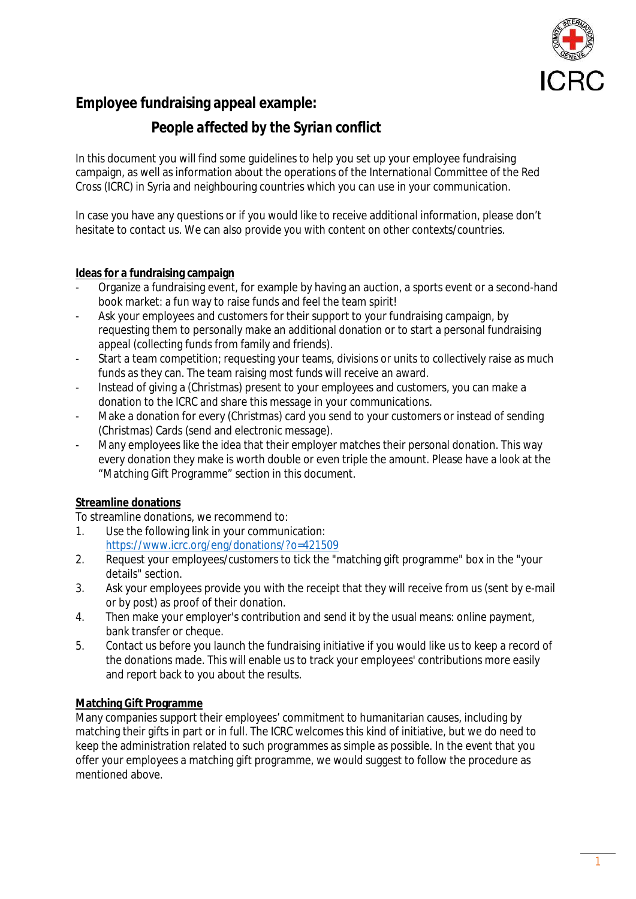

## **Employee fundraising appeal example:**

## *People affected by the Syrian conflict*

In this document you will find some guidelines to help you set up your employee fundraising campaign, as well as information about the operations of the International Committee of the Red Cross (ICRC) in Syria and neighbouring countries which you can use in your communication.

In case you have any questions or if you would like to receive additional information, please don't hesitate to contact us. We can also provide you with content on other contexts/countries.

### **Ideas for a fundraising campaign**

- Organize a fundraising event, for example by having an auction, a sports event or a second-hand book market: a fun way to raise funds and feel the team spirit!
- Ask your employees and customers for their support to your fundraising campaign, by requesting them to personally make an additional donation or to start a personal fundraising appeal (collecting funds from family and friends).
- Start a team competition; requesting your teams, divisions or units to collectively raise as much funds as they can. The team raising most funds will receive an award.
- Instead of giving a (Christmas) present to your employees and customers, you can make a donation to the ICRC and share this message in your communications.
- Make a donation for every (Christmas) card you send to your customers or instead of sending (Christmas) Cards (send and electronic message).
- Many employees like the idea that their employer matches their personal donation. This way every donation they make is worth double or even triple the amount. Please have a look at the "Matching Gift Programme" section in this document.

## **Streamline donations**

To streamline donations, we recommend to:

- 1. Use the following link in your communication: <https://www.icrc.org/eng/donations/?o=421509>
- 2. Request your employees/customers to tick the "matching gift programme" box in the "your details" section.
- 3. Ask your employees provide you with the receipt that they will receive from us (sent by e-mail or by post) as proof of their donation.
- 4. Then make your employer's contribution and send it by the usual means: online payment, bank transfer or cheque.
- 5. Contact us before you launch the fundraising initiative if you would like us to keep a record of the donations made. This will enable us to track your employees' contributions more easily and report back to you about the results.

### **Matching Gift Programme**

Many companies support their employees' commitment to humanitarian causes, including by matching their gifts in part or in full. The ICRC welcomes this kind of initiative, but we do need to keep the administration related to such programmes as simple as possible. In the event that you offer your employees a matching gift programme, we would suggest to follow the procedure as mentioned above.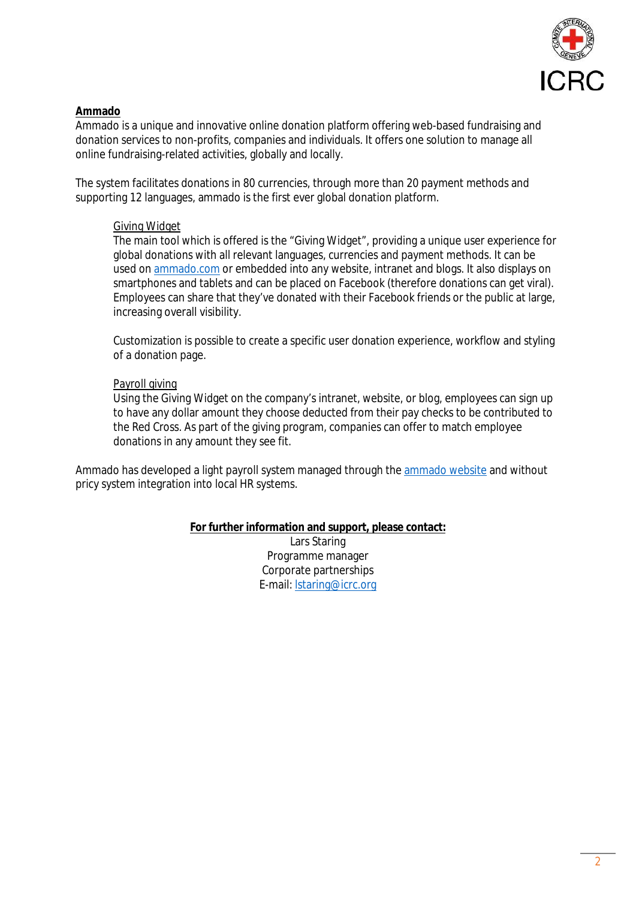

### **Ammado**

Ammado is a unique and innovative online donation platform offering web-based fundraising and donation services to non-profits, companies and individuals. It offers one solution to manage all online fundraising-related activities, globally and locally.

The system facilitates donations in 80 currencies, through more than 20 payment methods and supporting 12 languages, ammado is the first ever global donation platform.

### Giving Widget

The main tool which is offered is the "Giving Widget", providing a unique user experience for global donations with all relevant languages, currencies and payment methods. It can be used on [ammado.com](www.ammado.com) or embedded into any website, intranet and blogs. It also displays on smartphones and tablets and can be placed on Facebook (therefore donations can get viral). Employees can share that they've donated with their Facebook friends or the public at large, increasing overall visibility.

Customization is possible to create a specific user donation experience, workflow and styling of a donation page.

### Payroll giving

Using the Giving Widget on the company's intranet, website, or blog, employees can sign up to have any dollar amount they choose deducted from their pay checks to be contributed to the Red Cross. As part of the giving program, companies can offer to match employee donations in any amount they see fit.

Ammado has developed a light payroll system managed through the [ammado website](www.ammado.com) and without pricy system integration into local HR systems.

### **For further information and support, please contact:**

Lars Staring Programme manager Corporate partnerships E-mail: [lstaring@icrc.org](mailto: lstaring@icrc.org)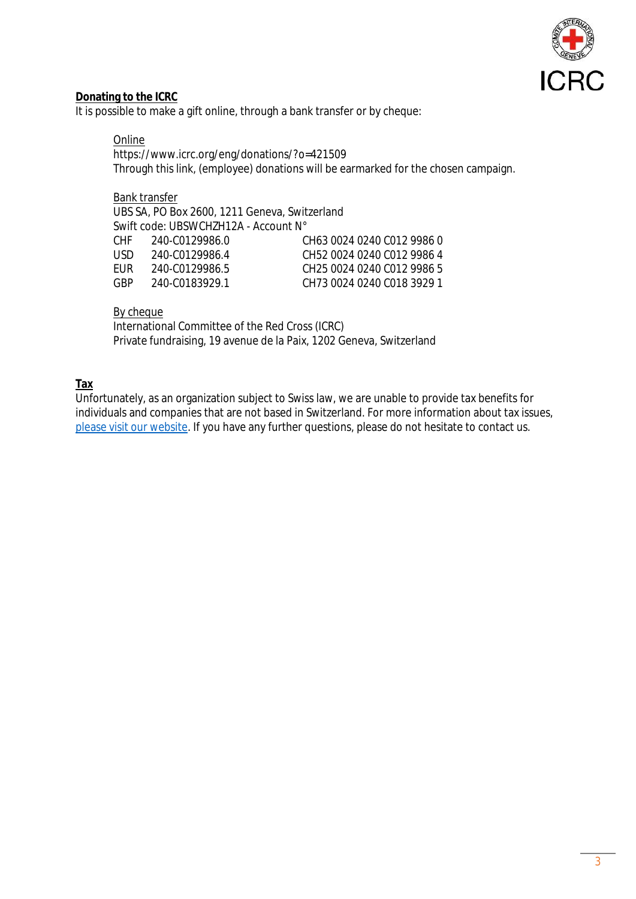

#### **Donating to the ICRC**

It is possible to make a gift online, through a bank transfer or by cheque:

#### Online

https://www.icrc.org/eng/donations/?o=421509 Through this link, (employee) donations will be earmarked for the chosen campaign.

#### Bank transfer

UBS SA, PO Box 2600, 1211 Geneva, Switzerland Swift code: UBSWCHZH12A - Account N° CHF 240-C0129986.0 CH63 0024 0240 C012 9986 0 USD 240-C0129986.4 CH52 0024 0240 C012 9986 4 EUR 240-C0129986.5 CH25 0024 0240 C012 9986 5

GBP 240-C0183929.1 CH73 0024 0240 C018 3929 1

#### By cheque

International Committee of the Red Cross (ICRC) Private fundraising, 19 avenue de la Paix, 1202 Geneva, Switzerland

#### **Tax**

Unfortunately, as an organization subject to Swiss law, we are unable to provide tax benefits for individuals and companies that are not based in Switzerland. For more information about tax issues, [please visit our website.](https://www.icrc.org/en/faq/tax-deductions) If you have any further questions, please do not hesitate to contact us.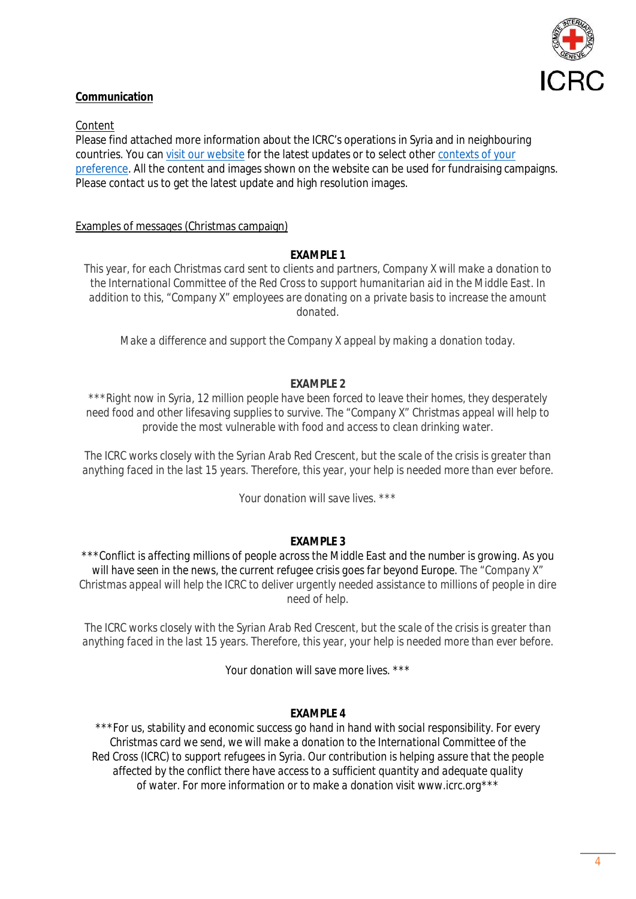

### **Communication**

Content

Please find attached more information about the ICRC's operations in Syria and in neighbouring countries. You can [visit our website](www.icrc.org) for the latest updates or to select other [contexts of your](https://www.icrc.org/en/where-we-work)  [preference.](https://www.icrc.org/en/where-we-work) All the content and images shown on the website can be used for fundraising campaigns. Please contact us to get the latest update and high resolution images.

#### Examples of messages (Christmas campaign)

#### **EXAMPLE 1**

*This year, for each Christmas card sent to clients and partners, Company X will make a donation to the International Committee of the Red Cross to support humanitarian aid in the Middle East. In addition to this, "Company X" employees are donating on a private basis to increase the amount donated.*

*Make a difference and support the Company X appeal by making a donation today.*

#### **EXAMPLE 2**

*\*\*\*Right now in Syria, 12 million people have been forced to leave their homes, they desperately need food and other lifesaving supplies to survive. The "Company X" Christmas appeal will help to provide the most vulnerable with food and access to clean drinking water.* 

*The ICRC works closely with the Syrian Arab Red Crescent, but the scale of the crisis is greater than anything faced in the last 15 years. Therefore, this year, your help is needed more than ever before.*

*Your donation will save lives. \*\*\**

#### **EXAMPLE 3**

*\*\*\*Conflict is affecting millions of people across the Middle East and the number is growing. As you will have seen in the news, the current refugee crisis goes far beyond Europe. The "Company X" Christmas appeal will help the ICRC to deliver urgently needed assistance to millions of people in dire need of help.* 

*The ICRC works closely with the Syrian Arab Red Crescent, but the scale of the crisis is greater than anything faced in the last 15 years. Therefore, this year, your help is needed more than ever before.*

*Your donation will save more lives. \*\*\**

#### **EXAMPLE 4**

*\*\*\*For us, stability and economic success go hand in hand with social responsibility. For every Christmas card we send, we will make a donation to the International Committee of the Red Cross (ICRC) to support refugees in Syria. Our contribution is helping assure that the people affected by the conflict there have access to a sufficient quantity and adequate quality of water. For more information or to make a donation visit www.icrc.org\*\*\**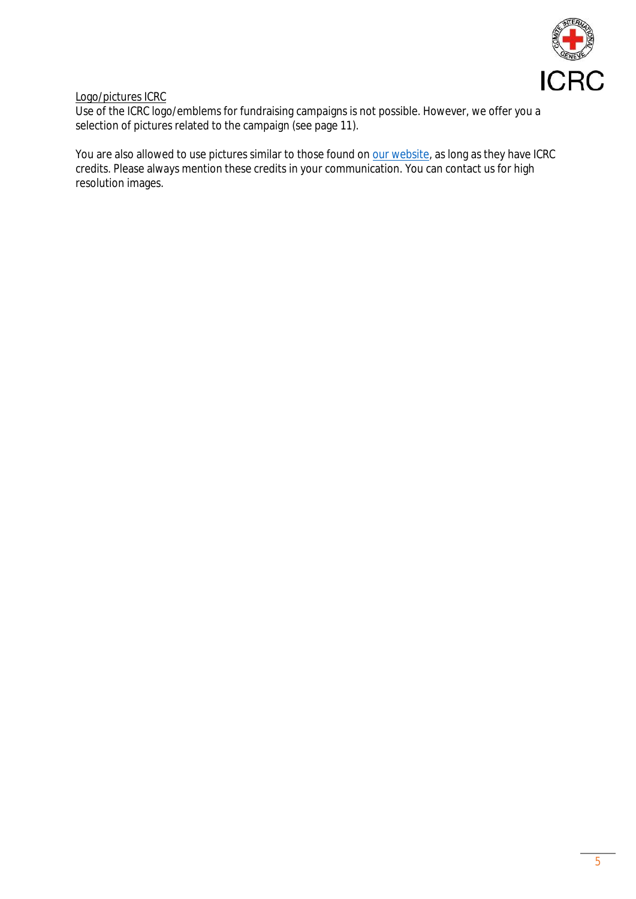

Logo/pictures ICRC

Use of the ICRC logo/emblems for fundraising campaigns is not possible. However, we offer you a selection of pictures related to the campaign (see page 11).

You are also allowed to use pictures similar to those found on [our website](www.icrc.org), as long as they have ICRC credits. Please always mention these credits in your communication. You can contact us for high resolution images.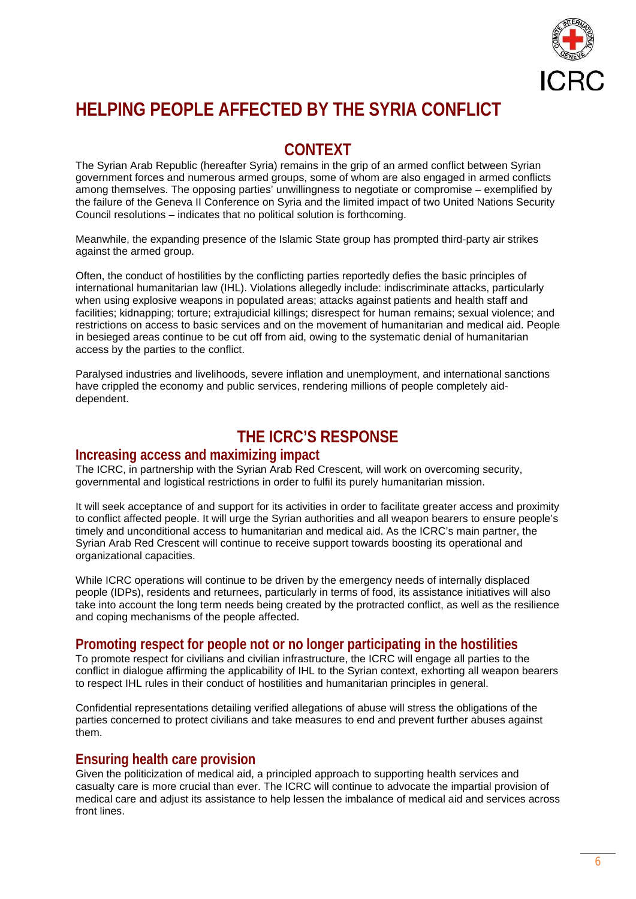

# **HELPING PEOPLE AFFECTED BY THE SYRIA CONFLICT**

## **CONTEXT**

The Syrian Arab Republic (hereafter Syria) remains in the grip of an armed conflict between Syrian government forces and numerous armed groups, some of whom are also engaged in armed conflicts among themselves. The opposing parties' unwillingness to negotiate or compromise – exemplified by the failure of the Geneva II Conference on Syria and the limited impact of two United Nations Security Council resolutions – indicates that no political solution is forthcoming.

Meanwhile, the expanding presence of the Islamic State group has prompted third-party air strikes against the armed group.

Often, the conduct of hostilities by the conflicting parties reportedly defies the basic principles of international humanitarian law (IHL). Violations allegedly include: indiscriminate attacks, particularly when using explosive weapons in populated areas; attacks against patients and health staff and facilities; kidnapping; torture; extrajudicial killings; disrespect for human remains; sexual violence; and restrictions on access to basic services and on the movement of humanitarian and medical aid. People in besieged areas continue to be cut off from aid, owing to the systematic denial of humanitarian access by the parties to the conflict.

Paralysed industries and livelihoods, severe inflation and unemployment, and international sanctions have crippled the economy and public services, rendering millions of people completely aiddependent.

## **THE ICRC'S RESPONSE**

### **Increasing access and maximizing impact**

The ICRC, in partnership with the Syrian Arab Red Crescent, will work on overcoming security, governmental and logistical restrictions in order to fulfil its purely humanitarian mission.

It will seek acceptance of and support for its activities in order to facilitate greater access and proximity to conflict affected people. It will urge the Syrian authorities and all weapon bearers to ensure people's timely and unconditional access to humanitarian and medical aid. As the ICRC's main partner, the Syrian Arab Red Crescent will continue to receive support towards boosting its operational and organizational capacities.

While ICRC operations will continue to be driven by the emergency needs of internally displaced people (IDPs), residents and returnees, particularly in terms of food, its assistance initiatives will also take into account the long term needs being created by the protracted conflict, as well as the resilience and coping mechanisms of the people affected.

## **Promoting respect for people not or no longer participating in the hostilities**

To promote respect for civilians and civilian infrastructure, the ICRC will engage all parties to the conflict in dialogue affirming the applicability of IHL to the Syrian context, exhorting all weapon bearers to respect IHL rules in their conduct of hostilities and humanitarian principles in general.

Confidential representations detailing verified allegations of abuse will stress the obligations of the parties concerned to protect civilians and take measures to end and prevent further abuses against them.

## **Ensuring health care provision**

Given the politicization of medical aid, a principled approach to supporting health services and casualty care is more crucial than ever. The ICRC will continue to advocate the impartial provision of medical care and adjust its assistance to help lessen the imbalance of medical aid and services across front lines.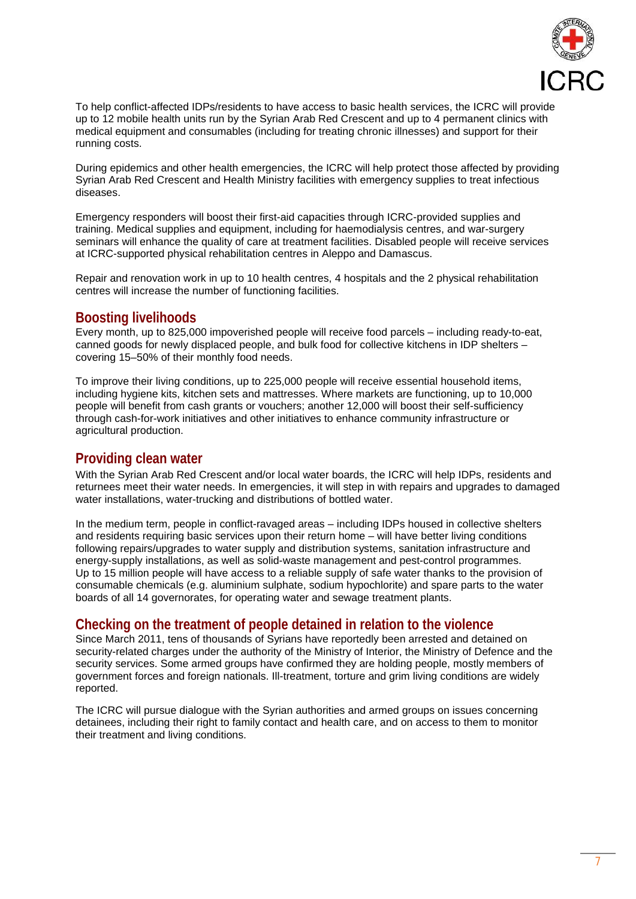

To help conflict-affected IDPs/residents to have access to basic health services, the ICRC will provide up to 12 mobile health units run by the Syrian Arab Red Crescent and up to 4 permanent clinics with medical equipment and consumables (including for treating chronic illnesses) and support for their running costs.

During epidemics and other health emergencies, the ICRC will help protect those affected by providing Syrian Arab Red Crescent and Health Ministry facilities with emergency supplies to treat infectious diseases.

Emergency responders will boost their first-aid capacities through ICRC-provided supplies and training. Medical supplies and equipment, including for haemodialysis centres, and war-surgery seminars will enhance the quality of care at treatment facilities. Disabled people will receive services at ICRC-supported physical rehabilitation centres in Aleppo and Damascus.

Repair and renovation work in up to 10 health centres, 4 hospitals and the 2 physical rehabilitation centres will increase the number of functioning facilities.

### **Boosting livelihoods**

Every month, up to 825,000 impoverished people will receive food parcels – including ready-to-eat, canned goods for newly displaced people, and bulk food for collective kitchens in IDP shelters – covering 15–50% of their monthly food needs.

To improve their living conditions, up to 225,000 people will receive essential household items, including hygiene kits, kitchen sets and mattresses. Where markets are functioning, up to 10,000 people will benefit from cash grants or vouchers; another 12,000 will boost their self-sufficiency through cash-for-work initiatives and other initiatives to enhance community infrastructure or agricultural production.

## **Providing clean water**

With the Syrian Arab Red Crescent and/or local water boards, the ICRC will help IDPs, residents and returnees meet their water needs. In emergencies, it will step in with repairs and upgrades to damaged water installations, water-trucking and distributions of bottled water.

In the medium term, people in conflict-ravaged areas – including IDPs housed in collective shelters and residents requiring basic services upon their return home – will have better living conditions following repairs/upgrades to water supply and distribution systems, sanitation infrastructure and energy-supply installations, as well as solid-waste management and pest-control programmes. Up to 15 million people will have access to a reliable supply of safe water thanks to the provision of consumable chemicals (e.g. aluminium sulphate, sodium hypochlorite) and spare parts to the water boards of all 14 governorates, for operating water and sewage treatment plants.

## **Checking on the treatment of people detained in relation to the violence**

Since March 2011, tens of thousands of Syrians have reportedly been arrested and detained on security-related charges under the authority of the Ministry of Interior, the Ministry of Defence and the security services. Some armed groups have confirmed they are holding people, mostly members of government forces and foreign nationals. Ill-treatment, torture and grim living conditions are widely reported.

The ICRC will pursue dialogue with the Syrian authorities and armed groups on issues concerning detainees, including their right to family contact and health care, and on access to them to monitor their treatment and living conditions.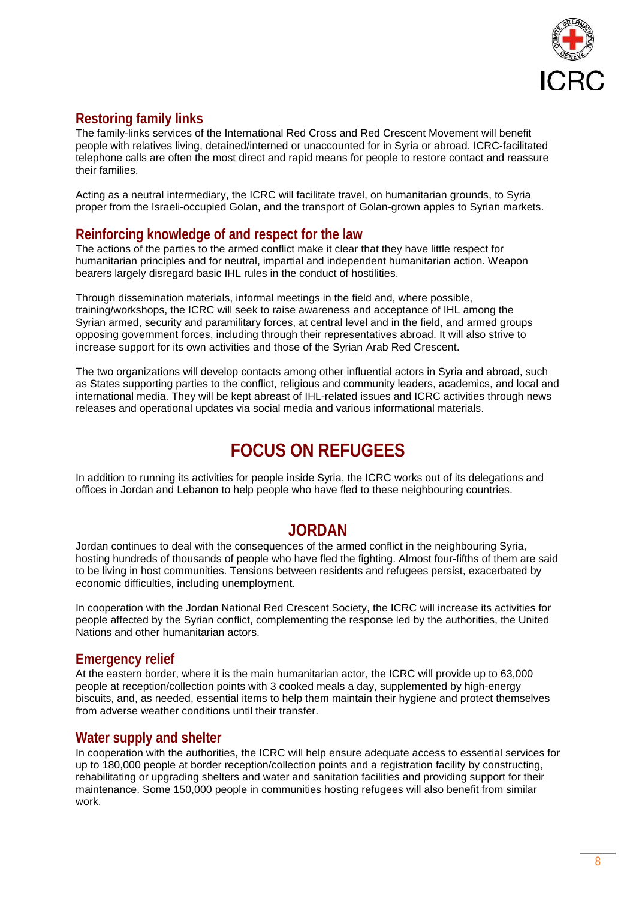

## **Restoring family links**

The family-links services of the International Red Cross and Red Crescent Movement will benefit people with relatives living, detained/interned or unaccounted for in Syria or abroad. ICRC-facilitated telephone calls are often the most direct and rapid means for people to restore contact and reassure their families.

Acting as a neutral intermediary, the ICRC will facilitate travel, on humanitarian grounds, to Syria proper from the Israeli-occupied Golan, and the transport of Golan-grown apples to Syrian markets.

## **Reinforcing knowledge of and respect for the law**

The actions of the parties to the armed conflict make it clear that they have little respect for humanitarian principles and for neutral, impartial and independent humanitarian action. Weapon bearers largely disregard basic IHL rules in the conduct of hostilities.

Through dissemination materials, informal meetings in the field and, where possible, training/workshops, the ICRC will seek to raise awareness and acceptance of IHL among the Syrian armed, security and paramilitary forces, at central level and in the field, and armed groups opposing government forces, including through their representatives abroad. It will also strive to increase support for its own activities and those of the Syrian Arab Red Crescent.

The two organizations will develop contacts among other influential actors in Syria and abroad, such as States supporting parties to the conflict, religious and community leaders, academics, and local and international media. They will be kept abreast of IHL-related issues and ICRC activities through news releases and operational updates via social media and various informational materials.

# **FOCUS ON REFUGEES**

In addition to running its activities for people inside Syria, the ICRC works out of its delegations and offices in Jordan and Lebanon to help people who have fled to these neighbouring countries.

## **JORDAN**

Jordan continues to deal with the consequences of the armed conflict in the neighbouring Syria, hosting hundreds of thousands of people who have fled the fighting. Almost four-fifths of them are said to be living in host communities. Tensions between residents and refugees persist, exacerbated by economic difficulties, including unemployment.

In cooperation with the Jordan National Red Crescent Society, the ICRC will increase its activities for people affected by the Syrian conflict, complementing the response led by the authorities, the United Nations and other humanitarian actors.

## **Emergency relief**

At the eastern border, where it is the main humanitarian actor, the ICRC will provide up to 63,000 people at reception/collection points with 3 cooked meals a day, supplemented by high-energy biscuits, and, as needed, essential items to help them maintain their hygiene and protect themselves from adverse weather conditions until their transfer.

## **Water supply and shelter**

In cooperation with the authorities, the ICRC will help ensure adequate access to essential services for up to 180,000 people at border reception/collection points and a registration facility by constructing, rehabilitating or upgrading shelters and water and sanitation facilities and providing support for their maintenance. Some 150,000 people in communities hosting refugees will also benefit from similar work.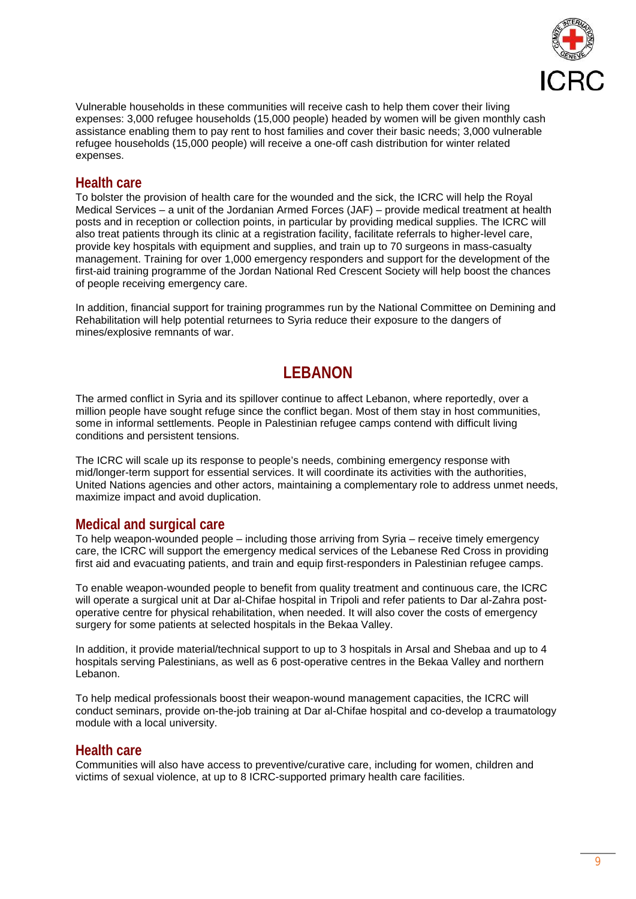

Vulnerable households in these communities will receive cash to help them cover their living expenses: 3,000 refugee households (15,000 people) headed by women will be given monthly cash assistance enabling them to pay rent to host families and cover their basic needs; 3,000 vulnerable refugee households (15,000 people) will receive a one-off cash distribution for winter related expenses.

## **Health care**

To bolster the provision of health care for the wounded and the sick, the ICRC will help the Royal Medical Services – a unit of the Jordanian Armed Forces (JAF) – provide medical treatment at health posts and in reception or collection points, in particular by providing medical supplies. The ICRC will also treat patients through its clinic at a registration facility, facilitate referrals to higher-level care, provide key hospitals with equipment and supplies, and train up to 70 surgeons in mass-casualty management. Training for over 1,000 emergency responders and support for the development of the first-aid training programme of the Jordan National Red Crescent Society will help boost the chances of people receiving emergency care.

In addition, financial support for training programmes run by the National Committee on Demining and Rehabilitation will help potential returnees to Syria reduce their exposure to the dangers of mines/explosive remnants of war.

## **LEBANON**

The armed conflict in Syria and its spillover continue to affect Lebanon, where reportedly, over a million people have sought refuge since the conflict began. Most of them stay in host communities, some in informal settlements. People in Palestinian refugee camps contend with difficult living conditions and persistent tensions.

The ICRC will scale up its response to people's needs, combining emergency response with mid/longer-term support for essential services. It will coordinate its activities with the authorities, United Nations agencies and other actors, maintaining a complementary role to address unmet needs, maximize impact and avoid duplication.

## **Medical and surgical care**

To help weapon-wounded people – including those arriving from Syria – receive timely emergency care, the ICRC will support the emergency medical services of the Lebanese Red Cross in providing first aid and evacuating patients, and train and equip first-responders in Palestinian refugee camps.

To enable weapon-wounded people to benefit from quality treatment and continuous care, the ICRC will operate a surgical unit at Dar al-Chifae hospital in Tripoli and refer patients to Dar al-Zahra postoperative centre for physical rehabilitation, when needed. It will also cover the costs of emergency surgery for some patients at selected hospitals in the Bekaa Valley.

In addition, it provide material/technical support to up to 3 hospitals in Arsal and Shebaa and up to 4 hospitals serving Palestinians, as well as 6 post-operative centres in the Bekaa Valley and northern Lebanon.

To help medical professionals boost their weapon-wound management capacities, the ICRC will conduct seminars, provide on-the-job training at Dar al-Chifae hospital and co-develop a traumatology module with a local university.

### **Health care**

Communities will also have access to preventive/curative care, including for women, children and victims of sexual violence, at up to 8 ICRC-supported primary health care facilities.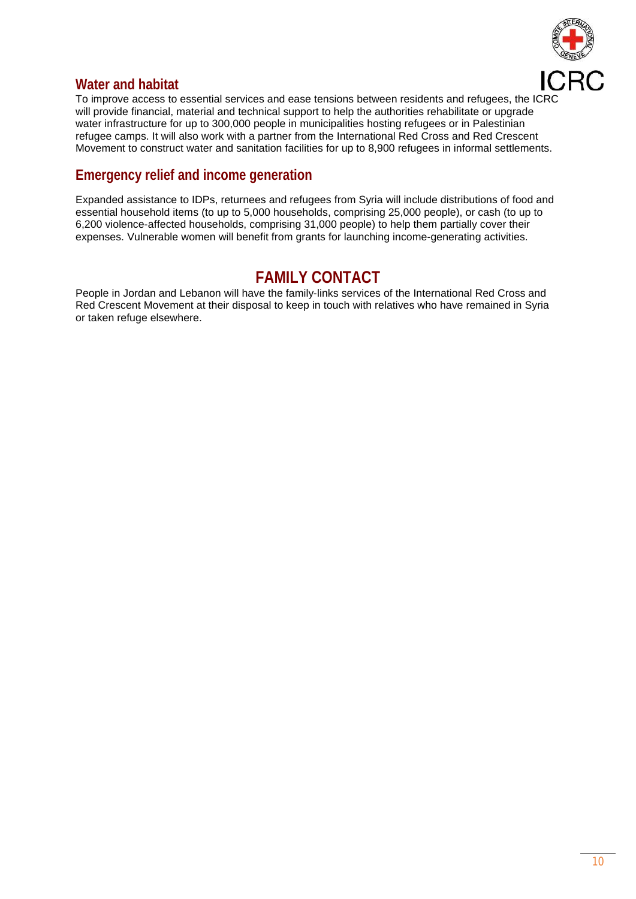

## **Water and habitat**

To improve access to essential services and ease tensions between residents and refugees, the ICRC will provide financial, material and technical support to help the authorities rehabilitate or upgrade water infrastructure for up to 300,000 people in municipalities hosting refugees or in Palestinian refugee camps. It will also work with a partner from the International Red Cross and Red Crescent Movement to construct water and sanitation facilities for up to 8,900 refugees in informal settlements.

## **Emergency relief and income generation**

Expanded assistance to IDPs, returnees and refugees from Syria will include distributions of food and essential household items (to up to 5,000 households, comprising 25,000 people), or cash (to up to 6,200 violence-affected households, comprising 31,000 people) to help them partially cover their expenses. Vulnerable women will benefit from grants for launching income-generating activities.

## **FAMILY CONTACT**

People in Jordan and Lebanon will have the family-links services of the International Red Cross and Red Crescent Movement at their disposal to keep in touch with relatives who have remained in Syria or taken refuge elsewhere.